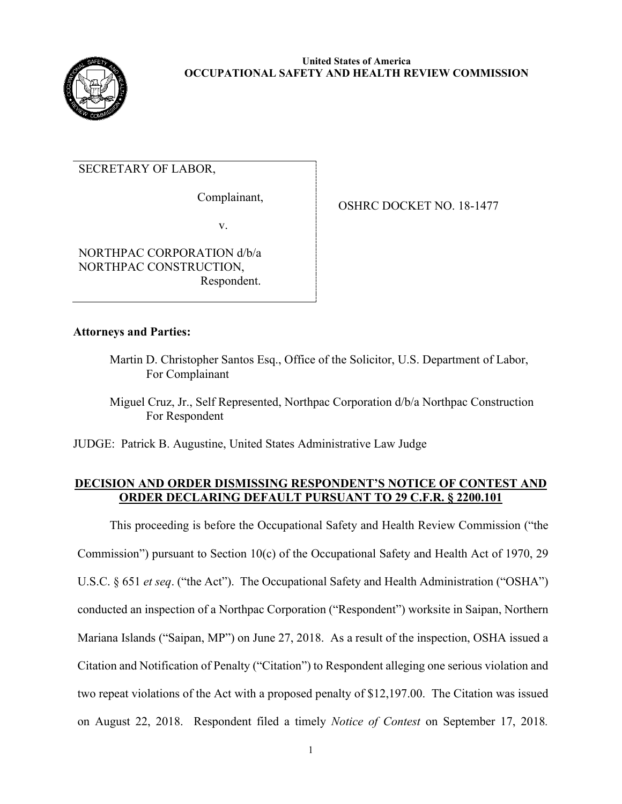

# SECRETARY OF LABOR,

Complainant,

OSHRC DOCKET NO. 18-1477

v.

NORTHPAC CORPORATION d/b/a NORTHPAC CONSTRUCTION, Respondent.

# **Attorneys and Parties:**

Martin D. Christopher Santos Esq., Office of the Solicitor, U.S. Department of Labor, For Complainant

 Miguel Cruz, Jr., Self Represented, Northpac Corporation d/b/a Northpac Construction For Respondent

JUDGE: Patrick B. Augustine, United States Administrative Law Judge

## **DECISION AND ORDER DISMISSING RESPONDENT'S NOTICE OF CONTEST AND ORDER DECLARING DEFAULT PURSUANT TO 29 C.F.R. § 2200.101**

This proceeding is before the Occupational Safety and Health Review Commission ("the Commission") pursuant to Section 10(c) of the Occupational Safety and Health Act of 1970, 29 U.S.C. § 651 *et seq.* ("the Act"). The Occupational Safety and Health Administration ("OSHA") conducted an inspection of a Northpac Corporation ("Respondent") worksite in Saipan, Northern Mariana Islands ("Saipan, MP") on June 27, 2018. As a result of the inspection, OSHA issued a Citation and Notification of Penalty ("Citation") to Respondent alleging one serious violation and two repeat violations of the Act with a proposed penalty of \$12,197.00. The Citation was issued on August 22, 2018. Respondent filed a timely *Notice of Contest* on September 17, 2018*.*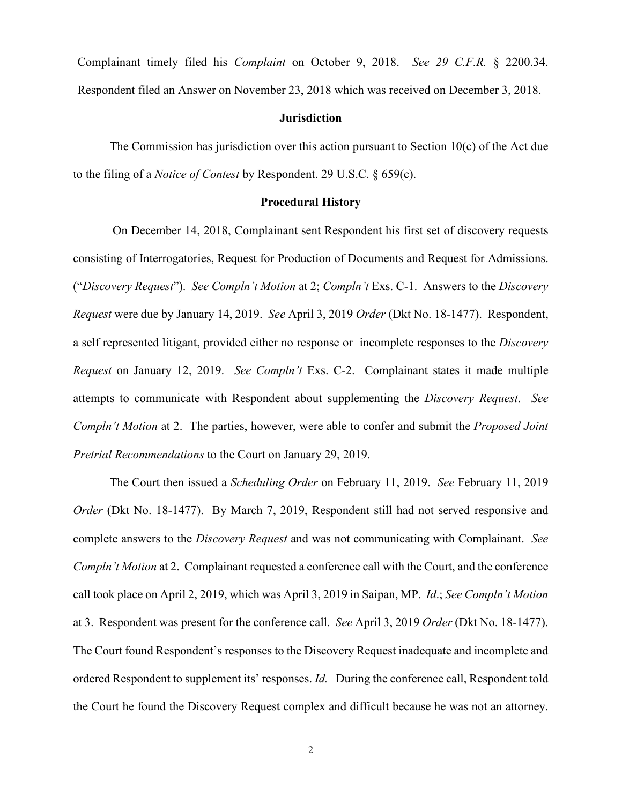Complainant timely filed his *Complaint* on October 9, 2018. *See 29 C.F.R.* § 2200.34. Respondent filed an Answer on November 23, 2018 which was received on December 3, 2018.

### **Jurisdiction**

The Commission has jurisdiction over this action pursuant to Section 10(c) of the Act due to the filing of a *Notice of Contest* by Respondent. 29 U.S.C. § 659(c).

### **Procedural History**

 On December 14, 2018, Complainant sent Respondent his first set of discovery requests consisting of Interrogatories, Request for Production of Documents and Request for Admissions. ("*Discovery Request*"). *See Compln't Motion* at 2; *Compln't* Exs. C-1. Answers to the *Discovery Request* were due by January 14, 2019. *See* April 3, 2019 *Order* (Dkt No. 18-1477). Respondent, a self represented litigant, provided either no response or incomplete responses to the *Discovery Request* on January 12, 2019. *See Compln't* Exs. C-2. Complainant states it made multiple attempts to communicate with Respondent about supplementing the *Discovery Request*. *See Compln't Motion* at 2. The parties, however, were able to confer and submit the *Proposed Joint Pretrial Recommendations* to the Court on January 29, 2019.

The Court then issued a *Scheduling Order* on February 11, 2019. *See* February 11, 2019 *Order* (Dkt No. 18-1477). By March 7, 2019, Respondent still had not served responsive and complete answers to the *Discovery Request* and was not communicating with Complainant. *See Compln't Motion* at 2. Complainant requested a conference call with the Court, and the conference call took place on April 2, 2019, which was April 3, 2019 in Saipan, MP. *Id*.; *See Compln't Motion*  at 3. Respondent was present for the conference call. *See* April 3, 2019 *Order* (Dkt No. 18-1477). The Court found Respondent's responses to the Discovery Request inadequate and incomplete and ordered Respondent to supplement its' responses. *Id.* During the conference call, Respondent told the Court he found the Discovery Request complex and difficult because he was not an attorney.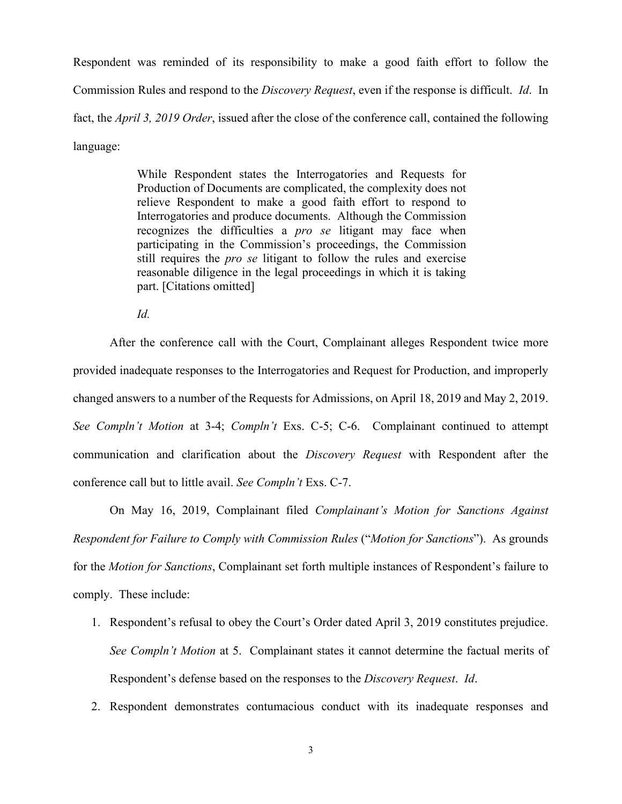Respondent was reminded of its responsibility to make a good faith effort to follow the Commission Rules and respond to the *Discovery Request*, even if the response is difficult. *Id*. In fact, the *April 3, 2019 Order*, issued after the close of the conference call, contained the following language:

> While Respondent states the Interrogatories and Requests for Production of Documents are complicated, the complexity does not relieve Respondent to make a good faith effort to respond to Interrogatories and produce documents. Although the Commission recognizes the difficulties a *pro se* litigant may face when participating in the Commission's proceedings, the Commission still requires the *pro se* litigant to follow the rules and exercise reasonable diligence in the legal proceedings in which it is taking part. [Citations omitted]

*Id.* 

After the conference call with the Court, Complainant alleges Respondent twice more provided inadequate responses to the Interrogatories and Request for Production, and improperly changed answers to a number of the Requests for Admissions, on April 18, 2019 and May 2, 2019. *See Compln't Motion* at 3-4; *Compln't* Exs. C-5; C-6. Complainant continued to attempt communication and clarification about the *Discovery Request* with Respondent after the conference call but to little avail. *See Compln't* Exs. C-7.

On May 16, 2019, Complainant filed *Complainant's Motion for Sanctions Against Respondent for Failure to Comply with Commission Rules* ("*Motion for Sanctions*"). As grounds for the *Motion for Sanctions*, Complainant set forth multiple instances of Respondent's failure to comply. These include:

- 1. Respondent's refusal to obey the Court's Order dated April 3, 2019 constitutes prejudice. *See Compln't Motion* at 5. Complainant states it cannot determine the factual merits of Respondent's defense based on the responses to the *Discovery Request*. *Id*.
- 2. Respondent demonstrates contumacious conduct with its inadequate responses and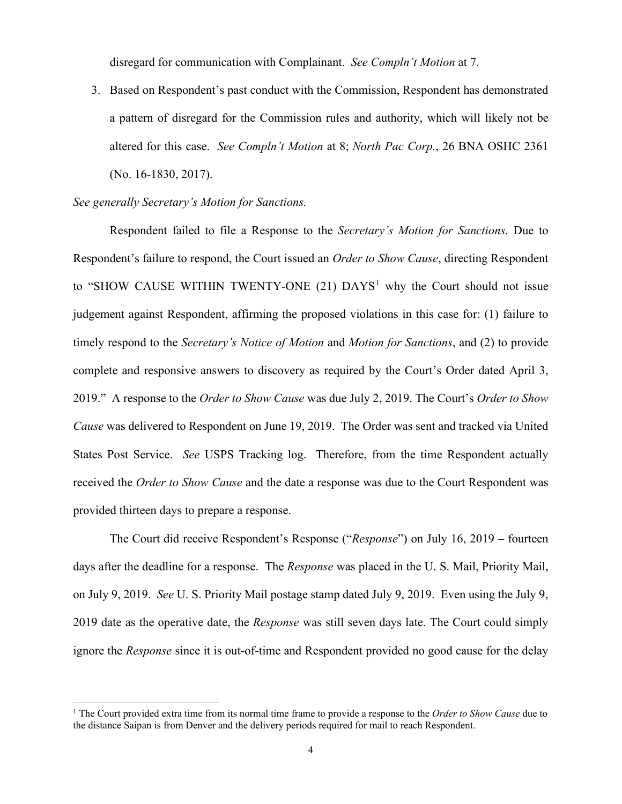disregard for communication with Complainant. *See Compln't Motion* at 7.

3. Based on Respondent's past conduct with the Commission, Respondent has demonstrated a pattern of disregard for the Commission rules and authority, which will likely not be altered for this case. *See Compln't Motion* at 8; *North Pac Corp.*, 26 BNA OSHC 2361 (No. 16-1830, 2017).

## *See generally Secretary's Motion for Sanctions.*

Respondent failed to file a Response to the *Secretary's Motion for Sanctions.* Due to Respondent's failure to respond, the Court issued an *Order to Show Cause*, directing Respondent to "SHOW CAUSE WITHIN TWENTY-ONE  $(21)$  $(21)$  $(21)$  DAYS<sup>1</sup> why the Court should not issue judgement against Respondent, affirming the proposed violations in this case for: (1) failure to timely respond to the *Secretary's Notice of Motion* and *Motion for Sanctions*, and (2) to provide complete and responsive answers to discovery as required by the Court's Order dated April 3, 2019." A response to the *Order to Show Cause* was due July 2, 2019. The Court's *Order to Show Cause* was delivered to Respondent on June 19, 2019. The Order was sent and tracked via United States Post Service. *See* USPS Tracking log. Therefore, from the time Respondent actually received the *Order to Show Cause* and the date a response was due to the Court Respondent was provided thirteen days to prepare a response.

The Court did receive Respondent's Response ("*Response*") on July 16, 2019 – fourteen days after the deadline for a response. The *Response* was placed in the U. S. Mail, Priority Mail, on July 9, 2019. *See* U. S. Priority Mail postage stamp dated July 9, 2019. Even using the July 9, 2019 date as the operative date, the *Response* was still seven days late. The Court could simply ignore the *Response* since it is out-of-time and Respondent provided no good cause for the delay

<span id="page-3-0"></span><sup>&</sup>lt;sup>1</sup> The Court provided extra time from its normal time frame to provide a response to the Order to Show Cause due to the distance Saipan is from Denver and the delivery periods required for mail to reach Respondent.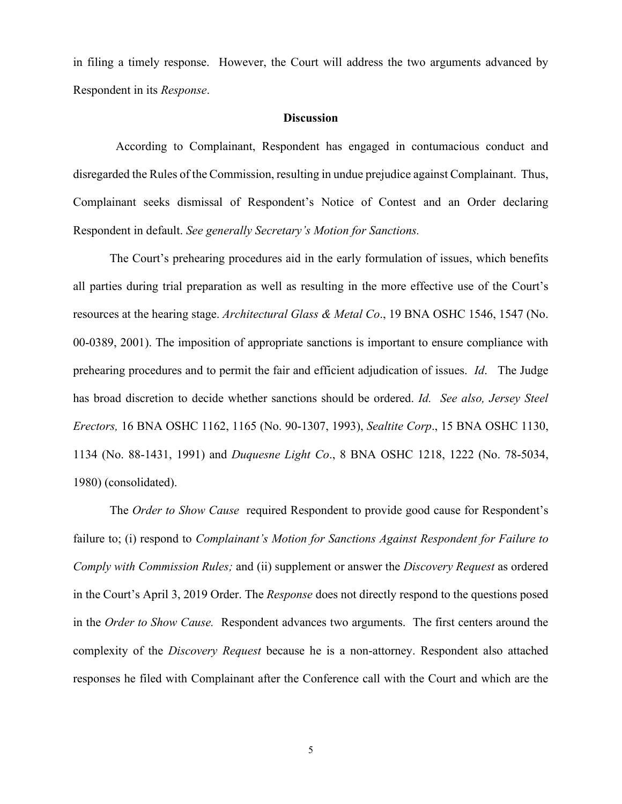in filing a timely response. However, the Court will address the two arguments advanced by Respondent in its *Response*.

#### **Discussion**

 According to Complainant, Respondent has engaged in contumacious conduct and disregarded the Rules of the Commission, resulting in undue prejudice against Complainant. Thus, Complainant seeks dismissal of Respondent's Notice of Contest and an Order declaring Respondent in default. *See generally Secretary's Motion for Sanctions.*

The Court's prehearing procedures aid in the early formulation of issues, which benefits all parties during trial preparation as well as resulting in the more effective use of the Court's resources at the hearing stage. *Architectural Glass & Metal Co*., 19 BNA OSHC 1546, 1547 (No. 00-0389, 2001). The imposition of appropriate sanctions is important to ensure compliance with prehearing procedures and to permit the fair and efficient adjudication of issues. *Id*. The Judge has broad discretion to decide whether sanctions should be ordered. *Id. See also, Jersey Steel Erectors,* 16 BNA OSHC 1162, 1165 (No. 90-1307, 1993), *Sealtite Corp*., 15 BNA OSHC 1130, 1134 (No. 88-1431, 1991) and *Duquesne Light Co*., 8 BNA OSHC 1218, 1222 (No. 78-5034, 1980) (consolidated).

The *Order to Show Cause* required Respondent to provide good cause for Respondent's failure to; (i) respond to *Complainant's Motion for Sanctions Against Respondent for Failure to Comply with Commission Rules;* and (ii) supplement or answer the *Discovery Request* as ordered in the Court's April 3, 2019 Order. The *Response* does not directly respond to the questions posed in the *Order to Show Cause.* Respondent advances two arguments. The first centers around the complexity of the *Discovery Request* because he is a non-attorney. Respondent also attached responses he filed with Complainant after the Conference call with the Court and which are the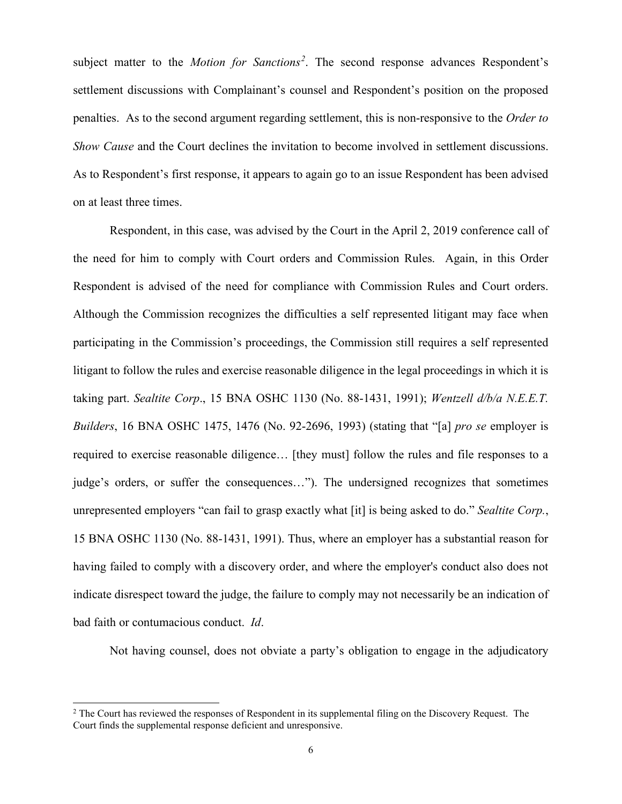subject matter to the *Motion for Sanctions[2](#page-5-0)* . The second response advances Respondent's settlement discussions with Complainant's counsel and Respondent's position on the proposed penalties. As to the second argument regarding settlement, this is non-responsive to the *Order to Show Cause* and the Court declines the invitation to become involved in settlement discussions. As to Respondent's first response, it appears to again go to an issue Respondent has been advised on at least three times.

Respondent, in this case, was advised by the Court in the April 2, 2019 conference call of the need for him to comply with Court orders and Commission Rules. Again, in this Order Respondent is advised of the need for compliance with Commission Rules and Court orders. Although the Commission recognizes the difficulties a self represented litigant may face when participating in the Commission's proceedings, the Commission still requires a self represented litigant to follow the rules and exercise reasonable diligence in the legal proceedings in which it is taking part. *Sealtite Corp*., 15 BNA OSHC 1130 (No. 88-1431, 1991); *Wentzell d/b/a N.E.E.T. Builders*, 16 BNA OSHC 1475, 1476 (No. 92-2696, 1993) (stating that "[a] *pro se* employer is required to exercise reasonable diligence… [they must] follow the rules and file responses to a judge's orders, or suffer the consequences…"). The undersigned recognizes that sometimes unrepresented employers "can fail to grasp exactly what [it] is being asked to do." *Sealtite Corp.*, 15 BNA OSHC 1130 (No. 88-1431, 1991). Thus, where an employer has a substantial reason for having failed to comply with a discovery order, and where the employer's conduct also does not indicate disrespect toward the judge, the failure to comply may not necessarily be an indication of bad faith or contumacious conduct. *Id*.

Not having counsel, does not obviate a party's obligation to engage in the adjudicatory

<span id="page-5-0"></span><sup>&</sup>lt;sup>2</sup> The Court has reviewed the responses of Respondent in its supplemental filing on the Discovery Request. The Court finds the supplemental response deficient and unresponsive.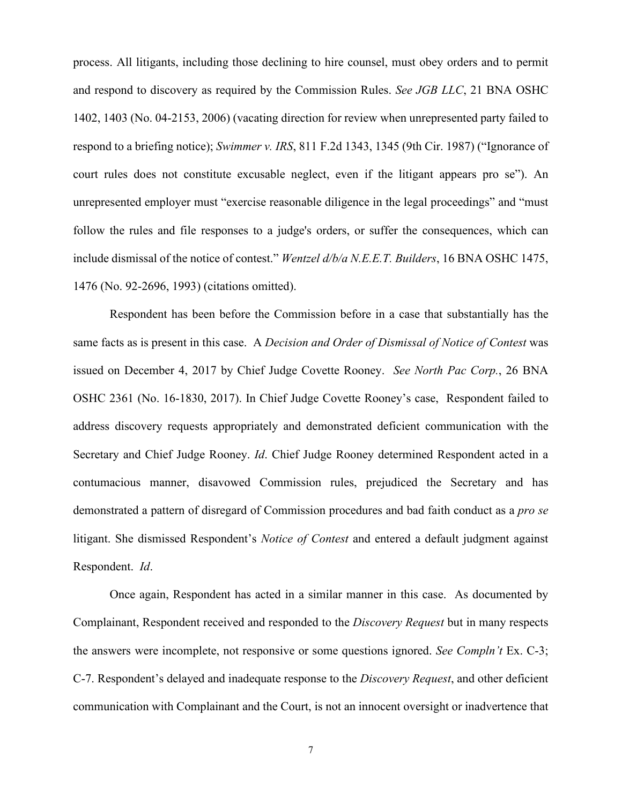process. All litigants, including those declining to hire counsel, must obey orders and to permit and respond to discovery as required by the Commission Rules. *See JGB LLC*, 21 BNA OSHC 1402, 1403 (No. 04-2153, 2006) (vacating direction for review when unrepresented party failed to respond to a briefing notice); *Swimmer v. IRS*, 811 F.2d 1343, 1345 (9th Cir. 1987) ("Ignorance of court rules does not constitute excusable neglect, even if the litigant appears pro se"). An unrepresented employer must "exercise reasonable diligence in the legal proceedings" and "must follow the rules and file responses to a judge's orders, or suffer the consequences, which can include dismissal of the notice of contest." *Wentzel d/b/a N.E.E.T. Builders*, 16 BNA OSHC 1475, 1476 (No. 92-2696, 1993) (citations omitted).

Respondent has been before the Commission before in a case that substantially has the same facts as is present in this case. A *Decision and Order of Dismissal of Notice of Contest* was issued on December 4, 2017 by Chief Judge Covette Rooney. *See North Pac Corp.*, 26 BNA OSHC 2361 (No. 16-1830, 2017). In Chief Judge Covette Rooney's case, Respondent failed to address discovery requests appropriately and demonstrated deficient communication with the Secretary and Chief Judge Rooney. *Id*. Chief Judge Rooney determined Respondent acted in a contumacious manner, disavowed Commission rules, prejudiced the Secretary and has demonstrated a pattern of disregard of Commission procedures and bad faith conduct as a *pro se* litigant. She dismissed Respondent's *Notice of Contest* and entered a default judgment against Respondent. *Id*.

Once again, Respondent has acted in a similar manner in this case. As documented by Complainant, Respondent received and responded to the *Discovery Request* but in many respects the answers were incomplete, not responsive or some questions ignored. *See Compln't* Ex. C-3; C-7. Respondent's delayed and inadequate response to the *Discovery Request*, and other deficient communication with Complainant and the Court, is not an innocent oversight or inadvertence that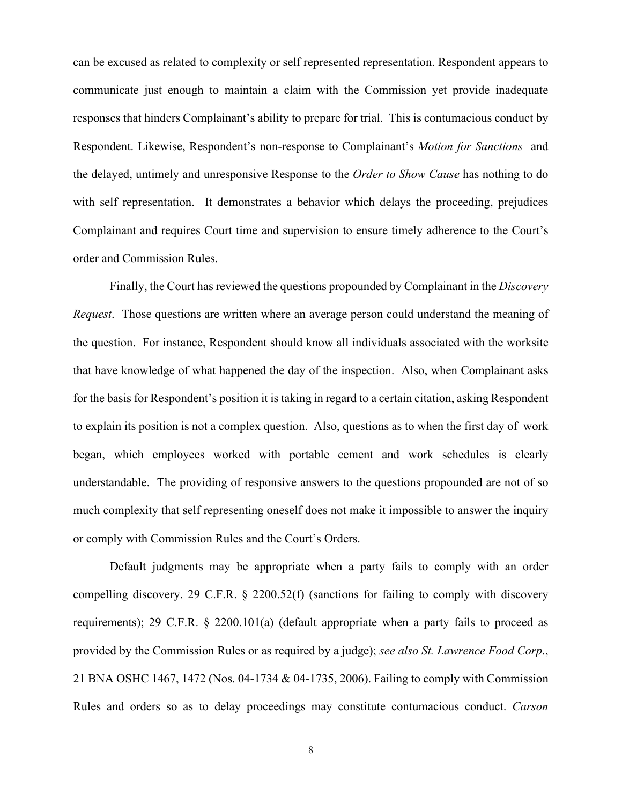can be excused as related to complexity or self represented representation. Respondent appears to communicate just enough to maintain a claim with the Commission yet provide inadequate responses that hinders Complainant's ability to prepare for trial. This is contumacious conduct by Respondent. Likewise, Respondent's non-response to Complainant's *Motion for Sanctions* and the delayed, untimely and unresponsive Response to the *Order to Show Cause* has nothing to do with self representation. It demonstrates a behavior which delays the proceeding, prejudices Complainant and requires Court time and supervision to ensure timely adherence to the Court's order and Commission Rules.

Finally, the Court has reviewed the questions propounded by Complainant in the *Discovery Request*. Those questions are written where an average person could understand the meaning of the question. For instance, Respondent should know all individuals associated with the worksite that have knowledge of what happened the day of the inspection. Also, when Complainant asks for the basis for Respondent's position it is taking in regard to a certain citation, asking Respondent to explain its position is not a complex question. Also, questions as to when the first day of work began, which employees worked with portable cement and work schedules is clearly understandable. The providing of responsive answers to the questions propounded are not of so much complexity that self representing oneself does not make it impossible to answer the inquiry or comply with Commission Rules and the Court's Orders.

Default judgments may be appropriate when a party fails to comply with an order compelling discovery. 29 C.F.R. § 2200.52(f) (sanctions for failing to comply with discovery requirements); 29 C.F.R. § 2200.101(a) (default appropriate when a party fails to proceed as provided by the Commission Rules or as required by a judge); *see also St. Lawrence Food Corp*., 21 BNA OSHC 1467, 1472 (Nos. 04-1734 & 04-1735, 2006). Failing to comply with Commission Rules and orders so as to delay proceedings may constitute contumacious conduct. *Carson*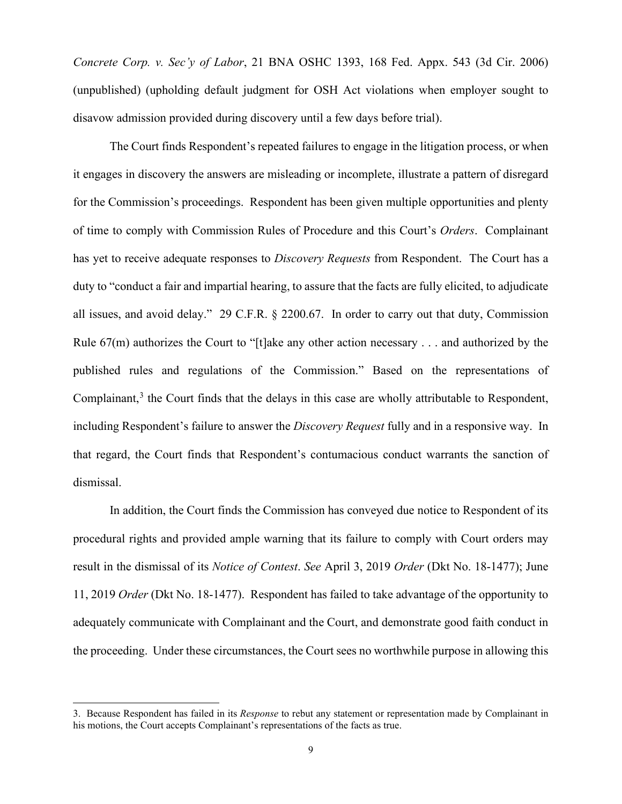*Concrete Corp. v. Sec'y of Labor*, 21 BNA OSHC 1393, 168 Fed. Appx. 543 (3d Cir. 2006) (unpublished) (upholding default judgment for OSH Act violations when employer sought to disavow admission provided during discovery until a few days before trial).

The Court finds Respondent's repeated failures to engage in the litigation process, or when it engages in discovery the answers are misleading or incomplete, illustrate a pattern of disregard for the Commission's proceedings. Respondent has been given multiple opportunities and plenty of time to comply with Commission Rules of Procedure and this Court's *Orders*. Complainant has yet to receive adequate responses to *Discovery Requests* from Respondent. The Court has a duty to "conduct a fair and impartial hearing, to assure that the facts are fully elicited, to adjudicate all issues, and avoid delay." 29 C.F.R. § 2200.67. In order to carry out that duty, Commission Rule  $67(m)$  authorizes the Court to "[t]ake any other action necessary . . . and authorized by the published rules and regulations of the Commission." Based on the representations of Complainant, $3$  the Court finds that the delays in this case are wholly attributable to Respondent, including Respondent's failure to answer the *Discovery Request* fully and in a responsive way. In that regard, the Court finds that Respondent's contumacious conduct warrants the sanction of dismissal.

 In addition, the Court finds the Commission has conveyed due notice to Respondent of its procedural rights and provided ample warning that its failure to comply with Court orders may result in the dismissal of its *Notice of Contest*. *See* April 3, 2019 *Order* (Dkt No. 18-1477); June 11, 2019 *Order* (Dkt No. 18-1477). Respondent has failed to take advantage of the opportunity to adequately communicate with Complainant and the Court, and demonstrate good faith conduct in the proceeding. Under these circumstances, the Court sees no worthwhile purpose in allowing this

<span id="page-8-0"></span><sup>3.</sup> Because Respondent has failed in its *Response* to rebut any statement or representation made by Complainant in his motions, the Court accepts Complainant's representations of the facts as true.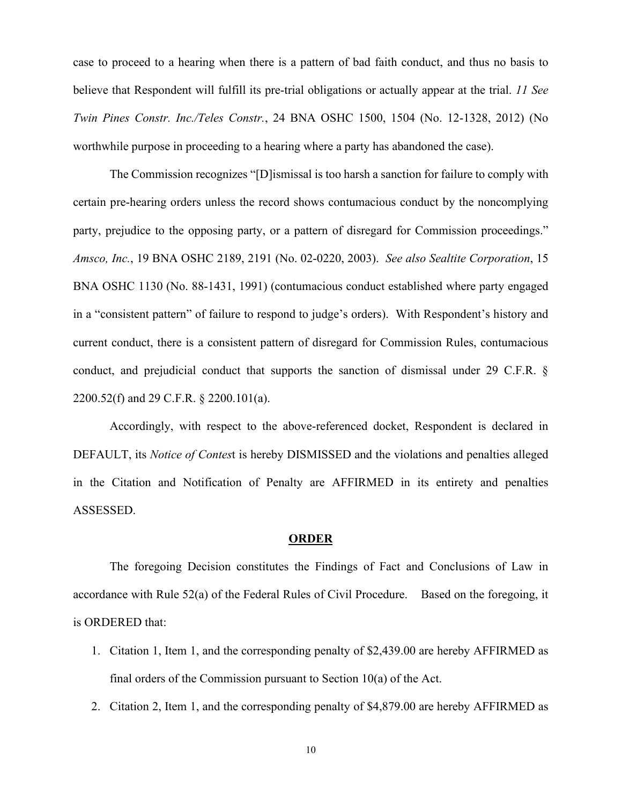case to proceed to a hearing when there is a pattern of bad faith conduct, and thus no basis to believe that Respondent will fulfill its pre-trial obligations or actually appear at the trial. *11 See Twin Pines Constr. Inc./Teles Constr.*, 24 BNA OSHC 1500, 1504 (No. 12-1328, 2012) (No worthwhile purpose in proceeding to a hearing where a party has abandoned the case).

The Commission recognizes "[D]ismissal is too harsh a sanction for failure to comply with certain pre-hearing orders unless the record shows contumacious conduct by the noncomplying party, prejudice to the opposing party, or a pattern of disregard for Commission proceedings." *Amsco, Inc.*, 19 BNA OSHC 2189, 2191 (No. 02-0220, 2003). *See also Sealtite Corporation*, 15 BNA OSHC 1130 (No. 88-1431, 1991) (contumacious conduct established where party engaged in a "consistent pattern" of failure to respond to judge's orders). With Respondent's history and current conduct, there is a consistent pattern of disregard for Commission Rules, contumacious conduct, and prejudicial conduct that supports the sanction of dismissal under 29 C.F.R. § 2200.52(f) and 29 C.F.R. § 2200.101(a).

 Accordingly, with respect to the above-referenced docket, Respondent is declared in DEFAULT, its *Notice of Contes*t is hereby DISMISSED and the violations and penalties alleged in the Citation and Notification of Penalty are AFFIRMED in its entirety and penalties ASSESSED.

### **ORDER**

 The foregoing Decision constitutes the Findings of Fact and Conclusions of Law in accordance with Rule 52(a) of the Federal Rules of Civil Procedure. Based on the foregoing, it is ORDERED that:

- 1. Citation 1, Item 1, and the corresponding penalty of \$2,439.00 are hereby AFFIRMED as final orders of the Commission pursuant to Section 10(a) of the Act.
- 2. Citation 2, Item 1, and the corresponding penalty of \$4,879.00 are hereby AFFIRMED as